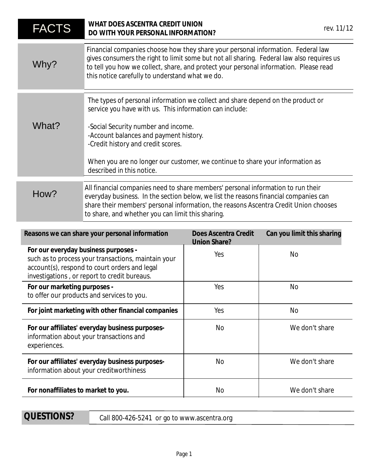| <b>FACTS</b>                                                                                                                                                                                 | WHAT DOES ASCENTRA CREDIT UNION<br>DO WITH YOUR PERSONAL INFORMATION?                                                                                                                                                                                                                                                                                                           |                                             | rev. 11/12                 |
|----------------------------------------------------------------------------------------------------------------------------------------------------------------------------------------------|---------------------------------------------------------------------------------------------------------------------------------------------------------------------------------------------------------------------------------------------------------------------------------------------------------------------------------------------------------------------------------|---------------------------------------------|----------------------------|
| Why?                                                                                                                                                                                         | Financial companies choose how they share your personal information. Federal law<br>gives consumers the right to limit some but not all sharing. Federal law also requires us<br>to tell you how we collect, share, and protect your personal information. Please read<br>this notice carefully to understand what we do.                                                       |                                             |                            |
| What?                                                                                                                                                                                        | The types of personal information we collect and share depend on the product or<br>service you have with us. This information can include:<br>-Social Security number and income.<br>-Account balances and payment history.<br>-Credit history and credit scores.<br>When you are no longer our customer, we continue to share your information as<br>described in this notice. |                                             |                            |
| How?                                                                                                                                                                                         | All financial companies need to share members' personal information to run their<br>everyday business. In the section below, we list the reasons financial companies can<br>share their members' personal information, the reasons Ascentra Credit Union chooses<br>to share, and whether you can limit this sharing.                                                           |                                             |                            |
| Reasons we can share your personal information                                                                                                                                               |                                                                                                                                                                                                                                                                                                                                                                                 | Does Ascentra Credit<br><b>Union Share?</b> | Can you limit this sharing |
| For our everyday business purposes -<br>such as to process your transactions, maintain your<br>account(s), respond to court orders and legal<br>investigations, or report to credit bureaus. |                                                                                                                                                                                                                                                                                                                                                                                 | Yes                                         | <b>No</b>                  |
| For our marketing purposes -<br>to offer our products and services to you.                                                                                                                   |                                                                                                                                                                                                                                                                                                                                                                                 | Yes                                         | <b>No</b>                  |
| For joint marketing with other financial companies                                                                                                                                           |                                                                                                                                                                                                                                                                                                                                                                                 | Yes                                         | <b>No</b>                  |
| For our affiliates' everyday business purposes-<br>information about your transactions and<br>experiences.                                                                                   |                                                                                                                                                                                                                                                                                                                                                                                 | No                                          | We don't share             |
| For our affiliates' everyday business purposes-<br>information about your creditworthiness                                                                                                   |                                                                                                                                                                                                                                                                                                                                                                                 | <b>No</b>                                   | We don't share             |
| For nonaffiliates to market to you.                                                                                                                                                          |                                                                                                                                                                                                                                                                                                                                                                                 | No                                          | We don't share             |

QUESTIONS?

Call 800-426-5241 or go to www.ascentra.org